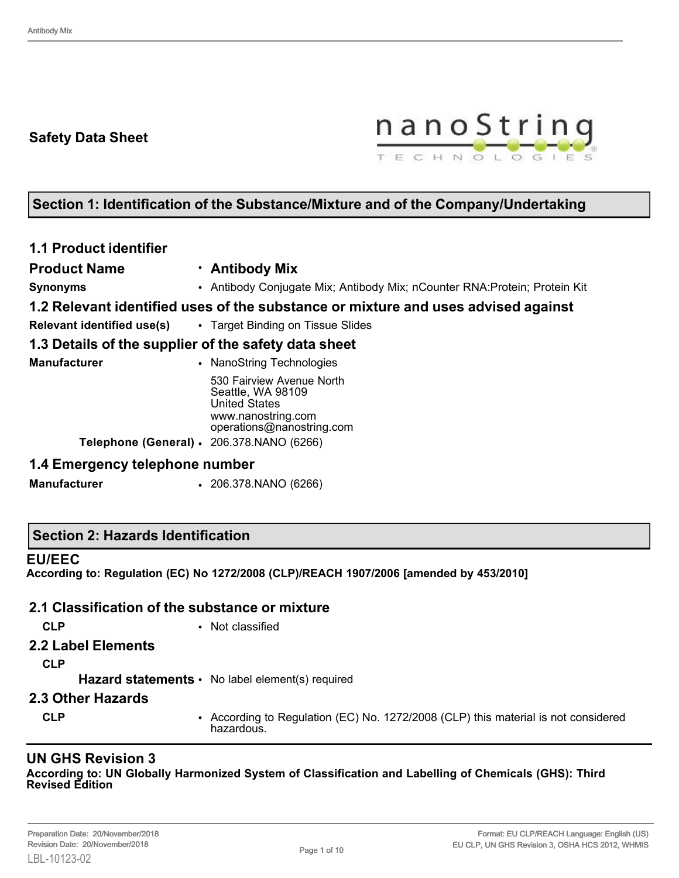## **Safety Data Sheet**



# **Section 1: Identification of the Substance/Mixture and of the Company/Undertaking**

| <b>1.1 Product identifier</b>                        |                                                                                                                           |  |  |  |
|------------------------------------------------------|---------------------------------------------------------------------------------------------------------------------------|--|--|--|
| <b>Product Name</b>                                  | · Antibody Mix                                                                                                            |  |  |  |
| <b>Synonyms</b>                                      | • Antibody Conjugate Mix; Antibody Mix; nCounter RNA: Protein; Protein Kit                                                |  |  |  |
|                                                      | 1.2 Relevant identified uses of the substance or mixture and uses advised against                                         |  |  |  |
|                                                      | <b>Relevant identified use(s)</b> • Target Binding on Tissue Slides                                                       |  |  |  |
| 1.3 Details of the supplier of the safety data sheet |                                                                                                                           |  |  |  |
| <b>Manufacturer</b>                                  | • NanoString Technologies                                                                                                 |  |  |  |
|                                                      | 530 Fairview Avenue North<br>Seattle, WA 98109<br><b>United States</b><br>www.nanostring.com<br>operations@nanostring.com |  |  |  |
|                                                      | <b>Telephone (General) · 206.378.NANO (6266)</b>                                                                          |  |  |  |
| 1.4 Emergency telephone number                       |                                                                                                                           |  |  |  |

**Manufacturer** • 206.378.NANO (6266)

#### **Section 2: Hazards Identification**

#### **EU/EEC**

**According to: Regulation (EC) No 1272/2008 (CLP)/REACH 1907/2006 [amended by 453/2010]**

#### **2.1 Classification of the substance or mixture**

- **CLP** Not classified
- **2.2 Label Elements**

**CLP**

Hazard statements • No label element(s) required

#### **2.3 Other Hazards**

**CLP** • According to Regulation (EC) No. 1272/2008 (CLP) this material is not considered hazardous.

#### **UN GHS Revision 3**

**According to: UN Globally Harmonized System of Classification and Labelling of Chemicals (GHS): Third Revised Edition**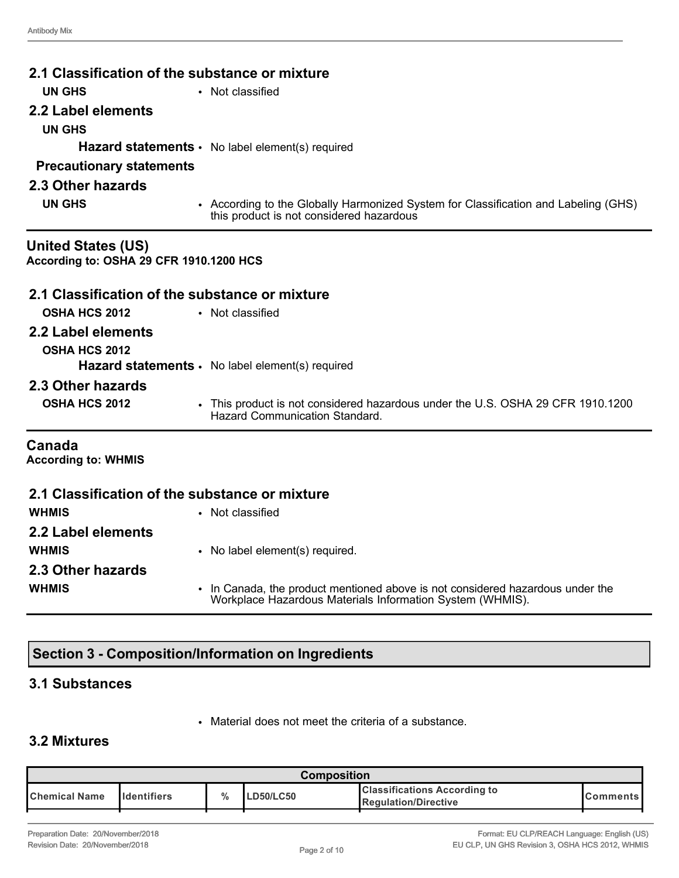|                                                                      | 2.1 Classification of the substance or mixture                                                                                  |
|----------------------------------------------------------------------|---------------------------------------------------------------------------------------------------------------------------------|
| <b>UN GHS</b>                                                        | • Not classified                                                                                                                |
| 2.2 Label elements                                                   |                                                                                                                                 |
| <b>UN GHS</b>                                                        |                                                                                                                                 |
|                                                                      | <b>Hazard statements <math>\cdot</math></b> No label element(s) required                                                        |
| <b>Precautionary statements</b>                                      |                                                                                                                                 |
| 2.3 Other hazards                                                    |                                                                                                                                 |
| <b>UN GHS</b>                                                        | • According to the Globally Harmonized System for Classification and Labeling (GHS)<br>this product is not considered hazardous |
| <b>United States (US)</b><br>According to: OSHA 29 CFR 1910.1200 HCS |                                                                                                                                 |
|                                                                      | 2.1 Classification of the substance or mixture                                                                                  |
| <b>OSHA HCS 2012</b>                                                 | • Not classified                                                                                                                |
| 2.2 Label elements                                                   |                                                                                                                                 |
| <b>OSHA HCS 2012</b>                                                 |                                                                                                                                 |
|                                                                      | Hazard statements · No label element(s) required                                                                                |
| 2.3 Other hazards                                                    |                                                                                                                                 |
| <b>OSHA HCS 2012</b>                                                 | • This product is not considered hazardous under the U.S. OSHA 29 CFR 1910.1200<br><b>Hazard Communication Standard.</b>        |
| Canada<br><b>According to: WHMIS</b>                                 |                                                                                                                                 |
|                                                                      | 2.1 Classification of the substance or mixture                                                                                  |
| <b>WHMIS</b>                                                         | • Not classified                                                                                                                |
| 2.2 Label elements                                                   |                                                                                                                                 |
| <b>WHMIS</b>                                                         | • No label element(s) required.                                                                                                 |

**2.3 Other hazards WHMIS** • In Canada, the product mentioned above is not considered hazardous under the Workplace Hazardous Materials Information System (WHMIS).

# **Section 3 - Composition/Information on Ingredients**

## **3.1 Substances**

• Material does not meet the criteria of a substance.

# **3.2 Mixtures**

| Composition            |                      |               |                  |                                                                      |                 |
|------------------------|----------------------|---------------|------------------|----------------------------------------------------------------------|-----------------|
| <b>I</b> Chemical Name | <b>I</b> Identifiers | $\frac{0}{0}$ | <b>LD50/LC50</b> | <b>Classifications According to</b><br><b>I</b> Regulation/Directive | <b>Comments</b> |
|                        |                      |               |                  |                                                                      |                 |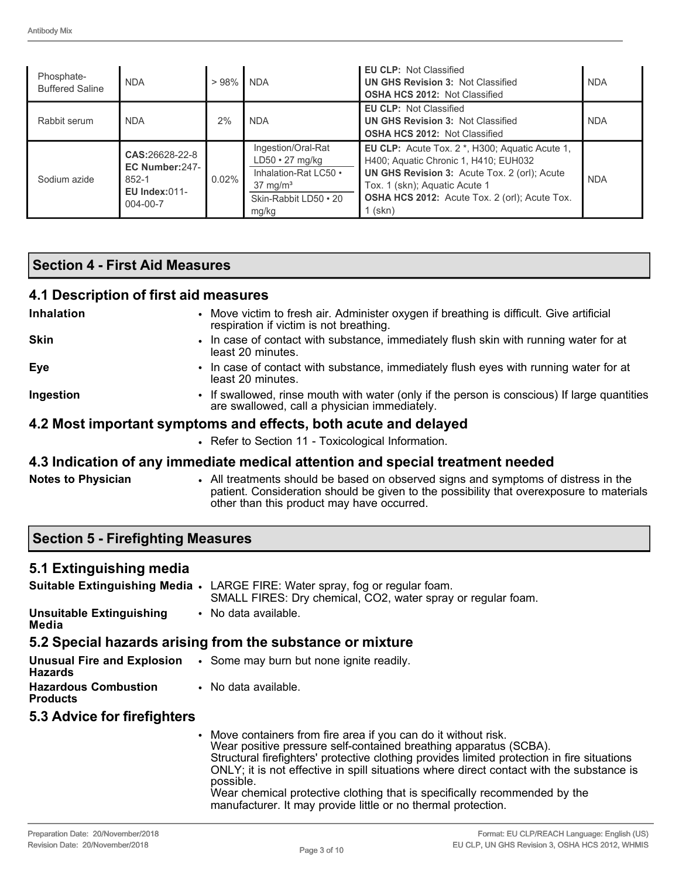| Phosphate-<br><b>Buffered Saline</b> | <b>NDA</b>                                                                           | >98%     | <b>NDA</b>                                                                                                                    | <b>EU CLP: Not Classified</b><br><b>UN GHS Revision 3: Not Classified</b><br><b>OSHA HCS 2012: Not Classified</b>                                                                                                                                | <b>NDA</b> |
|--------------------------------------|--------------------------------------------------------------------------------------|----------|-------------------------------------------------------------------------------------------------------------------------------|--------------------------------------------------------------------------------------------------------------------------------------------------------------------------------------------------------------------------------------------------|------------|
| Rabbit serum                         | <b>NDA</b>                                                                           | 2%       | <b>NDA</b>                                                                                                                    | <b>EU CLP: Not Classified</b><br><b>UN GHS Revision 3: Not Classified</b><br><b>OSHA HCS 2012: Not Classified</b>                                                                                                                                | <b>NDA</b> |
| Sodium azide                         | CAS:26628-22-8<br>EC Number: 247-<br>852-1<br><b>EU Index:011-</b><br>$004 - 00 - 7$ | $0.02\%$ | Ingestion/Oral-Rat<br>$LD50 \cdot 27$ mg/kg<br>Inhalation-Rat LC50 •<br>$37 \text{ mg/m}^3$<br>Skin-Rabbit LD50 • 20<br>mg/kg | EU CLP: Acute Tox. 2 *, H300; Aquatic Acute 1,<br>H400; Aquatic Chronic 1, H410; EUH032<br><b>UN GHS Revision 3: Acute Tox. 2 (orl); Acute</b><br>Tox. 1 (skn); Aquatic Acute 1<br><b>OSHA HCS 2012:</b> Acute Tox. 2 (orl); Acute Tox.<br>(skn) | <b>NDA</b> |

### **Section 4 - First Aid Measures**

### **4.1 Description of first aid measures**

| Inhalation         | • Move victim to fresh air. Administer oxygen if breathing is difficult. Give artificial<br>respiration if victim is not breathing.          |
|--------------------|----------------------------------------------------------------------------------------------------------------------------------------------|
| Skin               | • In case of contact with substance, immediately flush skin with running water for at<br>least 20 minutes.                                   |
| Eye                | • In case of contact with substance, immediately flush eyes with running water for at<br>least 20 minutes.                                   |
| Ingestion          | • If swallowed, rinse mouth with water (only if the person is conscious) If large quantities<br>are swallowed, call a physician immediately. |
|                    | 4.2 Most important symptoms and effects, both acute and delayed                                                                              |
|                    | • Refer to Section 11 - Toxicological Information.                                                                                           |
|                    | 4.3 Indication of any immediate medical attention and special treatment needed                                                               |
| Notas to Physician | . All treatments should be based on observed signs and symptoms of distress in the                                                           |

#### **Notes to Physician** • All treatments should be based on observed signs and symptoms of distress in the patient. Consideration should be given to the possibility that overexposure to materials

other than this product may have occurred.

# **Section 5 - Firefighting Measures**

## **5.1 Extinguishing media**

|                                          | <b>Suitable Extinguishing Media •</b> LARGE FIRE: Water spray, fog or regular foam.<br>SMALL FIRES: Dry chemical, CO2, water spray or regular foam. |
|------------------------------------------|-----------------------------------------------------------------------------------------------------------------------------------------------------|
| <b>Unsuitable Extinguishing</b><br>Media | • No data available.                                                                                                                                |

## **5.2 Special hazards arising from the substance or mixture**

| <b>Hazards</b>                                 | <b>Unusual Fire and Explosion</b> . Some may burn but none ignite readily. |
|------------------------------------------------|----------------------------------------------------------------------------|
| <b>Hazardous Combustion</b><br><b>Products</b> | • No data available.                                                       |
|                                                |                                                                            |

## **5.3 Advice for firefighters**

• Move containers from fire area if you can do it without risk. Wear positive pressure self-contained breathing apparatus (SCBA). Structural firefighters' protective clothing provides limited protection in fire situations ONLY; it is not effective in spill situations where direct contact with the substance is possible. Wear chemical protective clothing that is specifically recommended by the manufacturer. It may provide little or no thermal protection.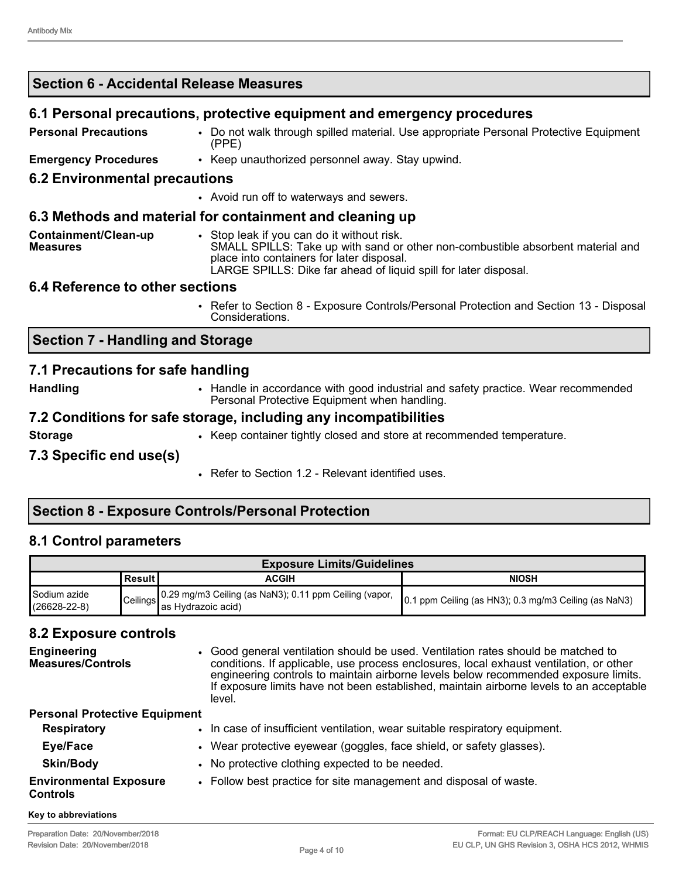# **Section 6 - Accidental Release Measures 6.1 Personal precautions, protective equipment and emergency procedures Personal Precautions** • Do not walk through spilled material. Use appropriate Personal Protective Equipment (PPE) **Emergency Procedures** • Keep unauthorized personnel away. Stay upwind. **6.2 Environmental precautions** • Avoid run off to waterways and sewers. **6.3 Methods and material for containment and cleaning up**

| Containment/Clean-up | Stop leak if vou can do it without risk.                                                                      |
|----------------------|---------------------------------------------------------------------------------------------------------------|
| <b>Measures</b>      | SMALL SPILLS: Take up with sand or other non-combustible absorbent material and                               |
|                      | place into containers for later disposal.<br>LARGE SPILLS: Dike far ahead of liquid spill for later disposal. |

### **6.4 Reference to other sections**

• Refer to Section 8 - Exposure Controls/Personal Protection and Section 13 - Disposal Considerations.

## **Section 7 - Handling and Storage**

### **7.1 Precautions for safe handling**

**Handling** • Handle in accordance with good industrial and safety practice. Wear recommended Personal Protective Equipment when handling.

### **7.2 Conditions for safe storage, including any incompatibilities**

**Storage • • Keep container tightly closed and store at recommended temperature.** 

#### **7.3 Specific end use(s)**

• Refer to Section 1.2 - Relevant identified uses.

## **Section 8 - Exposure Controls/Personal Protection**

### **8.1 Control parameters**

| <b>Exposure Limits/Guidelines</b>  |           |                                                                                         |                                                       |  |
|------------------------------------|-----------|-----------------------------------------------------------------------------------------|-------------------------------------------------------|--|
|                                    | ∣Result I | ACGIH                                                                                   | <b>NIOSH</b>                                          |  |
| Sodium azide<br>$(26628 - 22 - 8)$ |           | . 0.29 mg/m3 Ceiling (as NaN3); 0.11 ppm Ceiling (vapor,<br>Ceilings as Hydrazoic acid) | 0.1 ppm Ceiling (as HN3); 0.3 mg/m3 Ceiling (as NaN3) |  |

## **8.2 Exposure controls**

| <b>Engineering</b><br><b>Measures/Controls</b>   | • Good general ventilation should be used. Ventilation rates should be matched to<br>conditions. If applicable, use process enclosures, local exhaust ventilation, or other<br>engineering controls to maintain airborne levels below recommended exposure limits.<br>If exposure limits have not been established, maintain airborne levels to an acceptable<br>level. |
|--------------------------------------------------|-------------------------------------------------------------------------------------------------------------------------------------------------------------------------------------------------------------------------------------------------------------------------------------------------------------------------------------------------------------------------|
| <b>Personal Protective Equipment</b>             |                                                                                                                                                                                                                                                                                                                                                                         |
| <b>Respiratory</b>                               | • In case of insufficient ventilation, wear suitable respiratory equipment.                                                                                                                                                                                                                                                                                             |
| Eye/Face                                         | • Wear protective eyewear (goggles, face shield, or safety glasses).                                                                                                                                                                                                                                                                                                    |
| <b>Skin/Body</b>                                 | • No protective clothing expected to be needed.                                                                                                                                                                                                                                                                                                                         |
| <b>Environmental Exposure</b><br><b>Controls</b> | • Follow best practice for site management and disposal of waste.                                                                                                                                                                                                                                                                                                       |
| Key to abbreviations                             |                                                                                                                                                                                                                                                                                                                                                                         |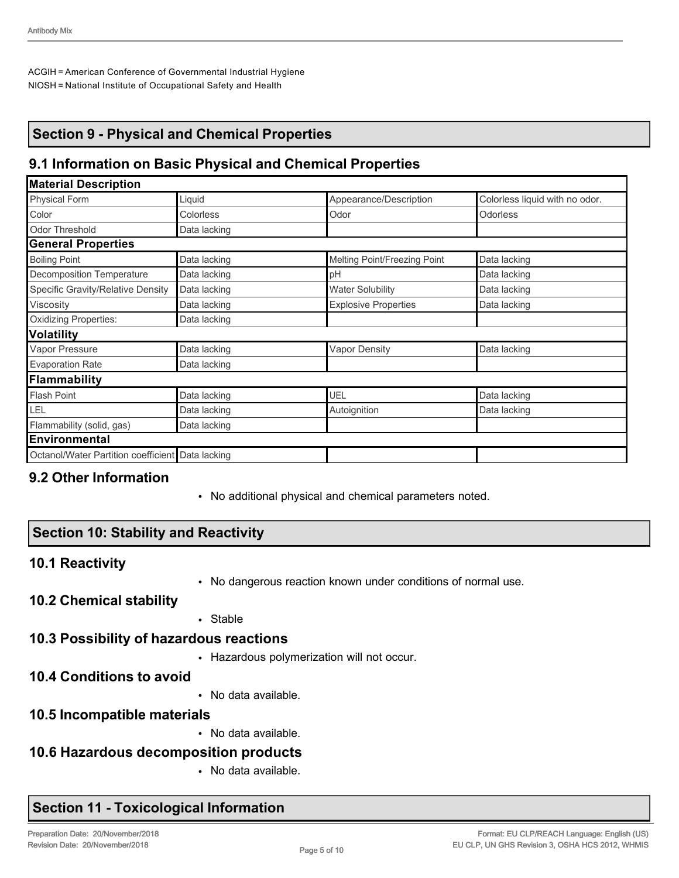ACGIH = American Conference of Governmental Industrial Hygiene NIOSH = National Institute of Occupational Safety and Health

## **Section 9 - Physical and Chemical Properties**

## **9.1 Information on Basic Physical and Chemical Properties**

| <b>Material Description</b>                      |              |                              |                                |  |
|--------------------------------------------------|--------------|------------------------------|--------------------------------|--|
| Physical Form                                    | Liquid       | Appearance/Description       | Colorless liquid with no odor. |  |
| Color                                            | Colorless    | Odor                         | <b>Odorless</b>                |  |
| <b>Odor Threshold</b>                            | Data lacking |                              |                                |  |
| <b>General Properties</b>                        |              |                              |                                |  |
| <b>Boiling Point</b>                             | Data lacking | Melting Point/Freezing Point | Data lacking                   |  |
| Decomposition Temperature                        | Data lacking | pH                           | Data lacking                   |  |
| Specific Gravity/Relative Density                | Data lacking | <b>Water Solubility</b>      | Data lacking                   |  |
| Viscosity                                        | Data lacking | <b>Explosive Properties</b>  | Data lacking                   |  |
| <b>Oxidizing Properties:</b>                     | Data lacking |                              |                                |  |
| <b>Volatility</b>                                |              |                              |                                |  |
| Vapor Pressure                                   | Data lacking | <b>Vapor Density</b>         | Data lacking                   |  |
| <b>Evaporation Rate</b>                          | Data lacking |                              |                                |  |
| Flammability                                     |              |                              |                                |  |
| <b>Flash Point</b>                               | Data lacking | UEL                          | Data lacking                   |  |
| LEL                                              | Data lacking | Autoignition                 | Data lacking                   |  |
| Flammability (solid, gas)                        | Data lacking |                              |                                |  |
| <b>Environmental</b>                             |              |                              |                                |  |
| Octanol/Water Partition coefficient Data lacking |              |                              |                                |  |

### **9.2 Other Information**

• No additional physical and chemical parameters noted.

## **Section 10: Stability and Reactivity**

#### **10.1 Reactivity**

• No dangerous reaction known under conditions of normal use.

### **10.2 Chemical stability**

• Stable

#### **10.3 Possibility of hazardous reactions**

• Hazardous polymerization will not occur.

#### **10.4 Conditions to avoid**

- No data available.
- **10.5 Incompatible materials**
	- No data available.

### **10.6 Hazardous decomposition products**

• No data available.

### **Section 11 - Toxicological Information**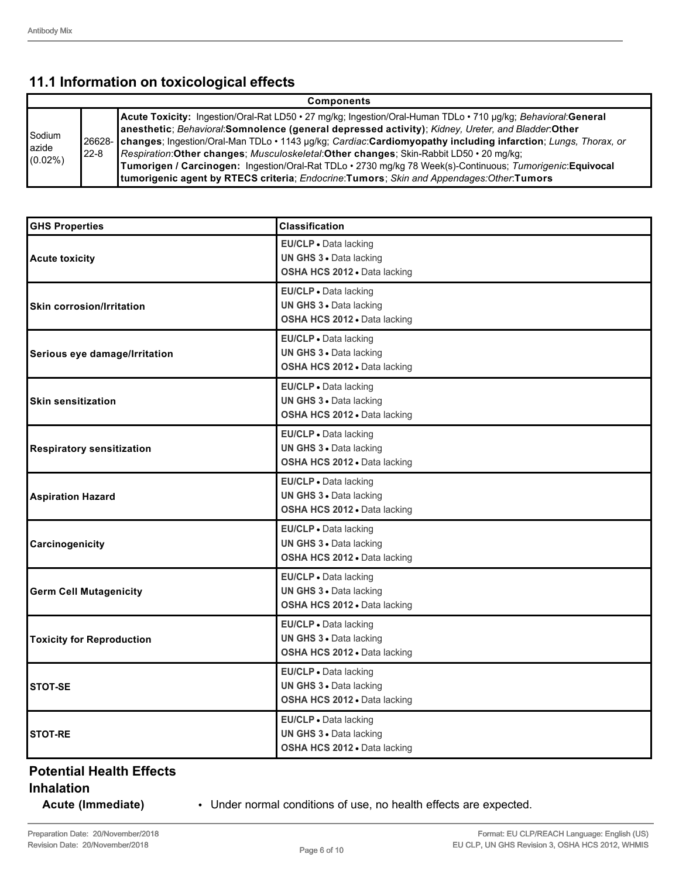# **11.1 Information on toxicological effects**

| <b>Components</b>             |                                                                                                                                                                                                                                                                                                                                                                                                                                                                                                                                                                                                                                                                  |  |  |  |  |
|-------------------------------|------------------------------------------------------------------------------------------------------------------------------------------------------------------------------------------------------------------------------------------------------------------------------------------------------------------------------------------------------------------------------------------------------------------------------------------------------------------------------------------------------------------------------------------------------------------------------------------------------------------------------------------------------------------|--|--|--|--|
| Sodium<br>azide<br>$(0.02\%)$ | Acute Toxicity: Ingestion/Oral-Rat LD50 · 27 mg/kg; Ingestion/Oral-Human TDLo · 710 µg/kg; Behavioral:General<br>anesthetic; Behavioral:Somnolence (general depressed activity); Kidney, Ureter, and Bladder:Other<br>26628- changes; Ingestion/Oral-Man TDLo · 1143 µg/kg; Cardiac:Cardiomyopathy including infarction; Lungs, Thorax, or<br><b>Respiration:Other changes; Musculoskeletal:Other changes; Skin-Rabbit LD50 • 20 mg/kg;</b><br>$22 - 8$<br>Tumorigen / Carcinogen: Ingestion/Oral-Rat TDLo · 2730 mg/kg 78 Week(s)-Continuous; Tumorigenic: Equivocal<br>tumorigenic agent by RTECS criteria; Endocrine:Tumors; Skin and Appendages:Other:Tumors |  |  |  |  |

| <b>GHS Properties</b>            | <b>Classification</b>                                                                   |
|----------------------------------|-----------------------------------------------------------------------------------------|
| <b>Acute toxicity</b>            | EU/CLP . Data lacking<br>UN GHS 3 . Data lacking<br>OSHA HCS 2012 . Data lacking        |
| <b>Skin corrosion/Irritation</b> | EU/CLP · Data lacking<br>UN GHS 3 . Data lacking<br>OSHA HCS 2012 · Data lacking        |
| Serious eye damage/Irritation    | EU/CLP - Data lacking<br>UN GHS 3 . Data lacking<br>OSHA HCS 2012 · Data lacking        |
| <b>Skin sensitization</b>        | EU/CLP · Data lacking<br><b>UN GHS 3 · Data lacking</b><br>OSHA HCS 2012 · Data lacking |
| <b>Respiratory sensitization</b> | EU/CLP . Data lacking<br><b>UN GHS 3 · Data lacking</b><br>OSHA HCS 2012 · Data lacking |
| <b>Aspiration Hazard</b>         | EU/CLP · Data lacking<br>UN GHS 3 · Data lacking<br>OSHA HCS 2012 . Data lacking        |
| Carcinogenicity                  | EU/CLP · Data lacking<br>UN GHS 3 . Data lacking<br>OSHA HCS 2012 · Data lacking        |
| <b>Germ Cell Mutagenicity</b>    | EU/CLP · Data lacking<br>UN GHS 3 . Data lacking<br>OSHA HCS 2012 . Data lacking        |
| <b>Toxicity for Reproduction</b> | EU/CLP · Data lacking<br>UN GHS 3 . Data lacking<br>OSHA HCS 2012 · Data lacking        |
| <b>STOT-SE</b>                   | EU/CLP · Data lacking<br>UN GHS 3 . Data lacking<br>OSHA HCS 2012 . Data lacking        |
| <b>STOT-RE</b>                   | EU/CLP . Data lacking<br><b>UN GHS 3 · Data lacking</b><br>OSHA HCS 2012 . Data lacking |

#### **Potential Health Effects Inhalation**

**Acute (Immediate)** • Under normal conditions of use, no health effects are expected.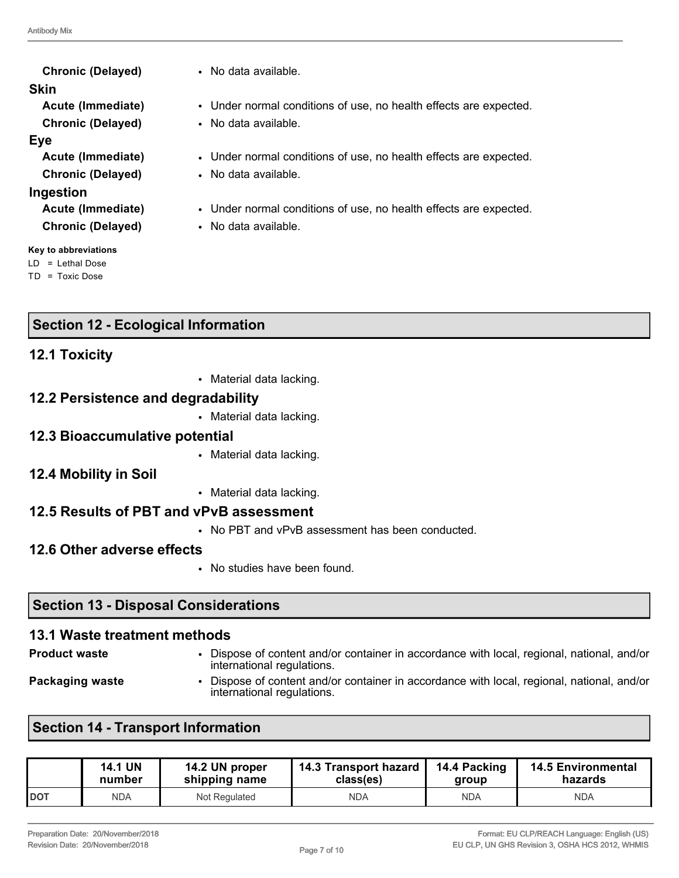**Skin Chronic (Delayed)** • No data available. **Eye Chronic (Delayed)** • No data available. **Ingestion Chronic (Delayed)** • No data available.

**Key to abbreviations**

LD = Lethal Dose TD = Toxic Dose

**Chronic (Delayed)** • No data available.

- **Acute (Immediate)** Under normal conditions of use, no health effects are expected.
	-
- **Acute (Immediate)** Under normal conditions of use, no health effects are expected.
	-
- **Acute (Immediate)** Under normal conditions of use, no health effects are expected.
	-

## **Section 12 - Ecological Information**

### **12.1 Toxicity**

• Material data lacking.

#### **12.2 Persistence and degradability**

• Material data lacking.

#### **12.3 Bioaccumulative potential**

- Material data lacking.
- **12.4 Mobility in Soil**
- Material data lacking.

#### **12.5 Results of PBT and vPvB assessment**

• No PBT and vPvB assessment has been conducted.

#### **12.6 Other adverse effects**

• No studies have been found.

### **Section 13 - Disposal Considerations**

### **13.1 Waste treatment methods**

- 
- **Product waste** Dispose of content and/or container in accordance with local, regional, national, and/or international regulations.
- 
- 
- **Packaging waste** Dispose of content and/or container in accordance with local, regional, national, and/or international regulations.

### **Section 14 - Transport Information**

|            | <b>14.1 UN</b> | 14.2 UN proper | 14.3 Transport hazard | 14.4 Packing | <b>14.5 Environmental</b> |
|------------|----------------|----------------|-----------------------|--------------|---------------------------|
|            | number         | shipping name  | class(es)             | aroup        | hazards                   |
| <b>DOT</b> | NDA            | Not Regulated  | NDA                   | NDA          | NDA                       |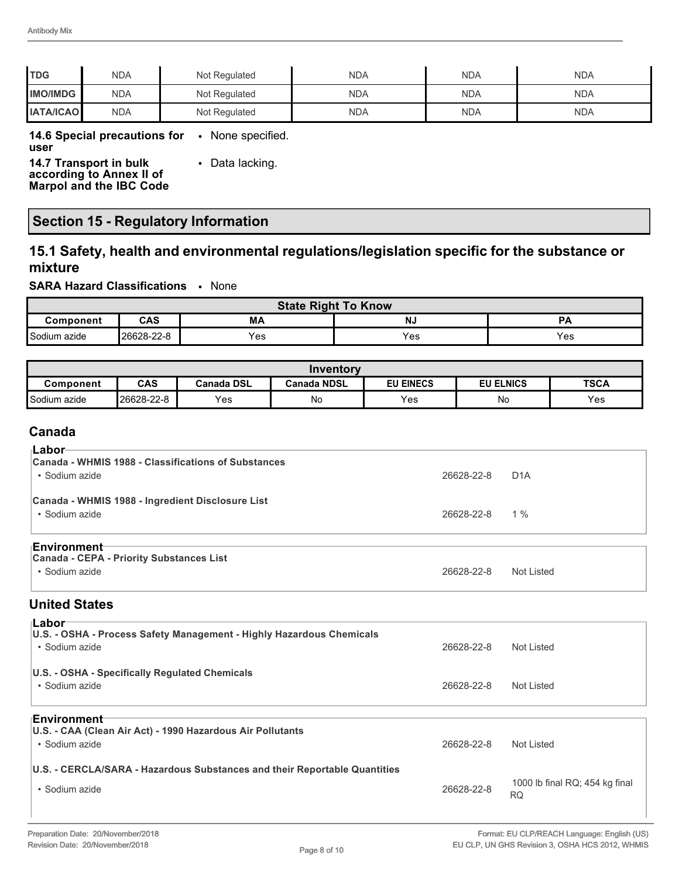| <b>TDG</b>       | <b>NDA</b> | Not Regulated | NDA        | <b>NDA</b> | NDA        |
|------------------|------------|---------------|------------|------------|------------|
| <b>IMO/IMDG</b>  | <b>NDA</b> | Not Regulated | <b>NDA</b> | <b>NDA</b> | <b>NDA</b> |
| <b>IATA/ICAO</b> | <b>NDA</b> | Not Regulated | NDA        | <b>NDA</b> | <b>NDA</b> |

#### **14.6 Special precautions for**  • None specified.

**user**

**14.7 Transport in bulk according to Annex II of Marpol and the IBC Code** • Data lacking.

## **Section 15 - Regulatory Information**

### **15.1 Safety, health and environmental regulations/legislation specific for the substance or mixture**

**SARA Hazard Classifications** • None

| <b>State Right To Know</b> |            |     |           |     |
|----------------------------|------------|-----|-----------|-----|
| Component                  | CAS        | МA  | <b>NJ</b> | PА  |
| Sodium azide               | 26628-22-8 | Yes | Yes       | Yes |

|              |            |            | Inventorv          |                  |                  |             |
|--------------|------------|------------|--------------------|------------------|------------------|-------------|
| Component    | <b>CAS</b> | Canada DSL | <b>Canada NDSL</b> | <b>EU EINECS</b> | <b>EU ELNICS</b> | <b>TSCA</b> |
| Sodium azide | 26628-22-8 | Yes        | No                 | Yes              | No               | <b>Yes</b>  |

#### **Canada**

| ⊦Labor                                                                            |            |                  |
|-----------------------------------------------------------------------------------|------------|------------------|
| Canada - WHMIS 1988 - Classifications of Substances<br>• Sodium azide             | 26628-22-8 | D <sub>1</sub> A |
| Canada - WHMIS 1988 - Ingredient Disclosure List<br>• Sodium azide                | 26628-22-8 | $1\%$            |
| ⊦Environment<br><b>Canada - CEPA - Priority Substances List</b><br>• Sodium azide | 26628-22-8 | Not Listed       |

#### **United States**

| ⊦Labor                                                                    |            |                                      |
|---------------------------------------------------------------------------|------------|--------------------------------------|
| U.S. - OSHA - Process Safety Management - Highly Hazardous Chemicals      |            |                                      |
| • Sodium azide                                                            | 26628-22-8 | Not Listed                           |
| U.S. - OSHA - Specifically Regulated Chemicals                            |            |                                      |
| • Sodium azide                                                            | 26628-22-8 | Not Listed                           |
| <b>⊦Environment</b>                                                       |            |                                      |
| U.S. - CAA (Clean Air Act) - 1990 Hazardous Air Pollutants                |            |                                      |
| • Sodium azide                                                            | 26628-22-8 | Not Listed                           |
| U.S. - CERCLA/SARA - Hazardous Substances and their Reportable Quantities |            |                                      |
| • Sodium azide                                                            | 26628-22-8 | 1000 lb final RQ; 454 kg final<br>RQ |
|                                                                           |            |                                      |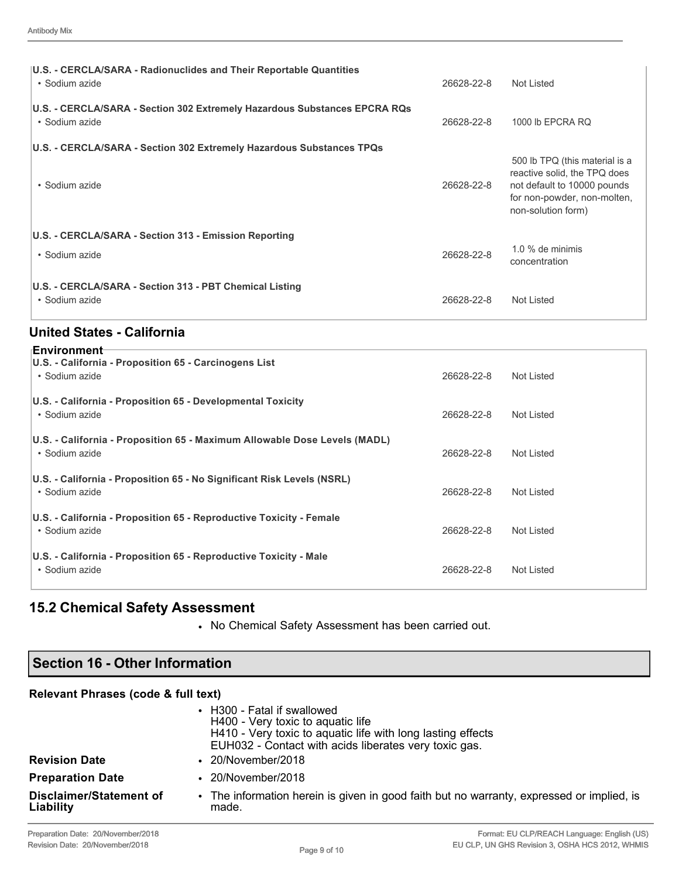| U.S. - CERCLA/SARA - Radionuclides and Their Reportable Quantities<br>• Sodium azide        | 26628-22-8 | Not Listed                                                                                                                                         |
|---------------------------------------------------------------------------------------------|------------|----------------------------------------------------------------------------------------------------------------------------------------------------|
| U.S. - CERCLA/SARA - Section 302 Extremely Hazardous Substances EPCRA RQs<br>• Sodium azide | 26628-22-8 | 1000 lb EPCRA RQ                                                                                                                                   |
| U.S. - CERCLA/SARA - Section 302 Extremely Hazardous Substances TPQs                        |            |                                                                                                                                                    |
| • Sodium azide                                                                              | 26628-22-8 | 500 lb TPQ (this material is a<br>reactive solid, the TPQ does<br>not default to 10000 pounds<br>for non-powder, non-molten,<br>non-solution form) |
| U.S. - CERCLA/SARA - Section 313 - Emission Reporting                                       |            |                                                                                                                                                    |
| • Sodium azide                                                                              | 26628-22-8 | $1.0\%$ de minimis<br>concentration                                                                                                                |
| U.S. - CERCLA/SARA - Section 313 - PBT Chemical Listing<br>• Sodium azide                   | 26628-22-8 | Not Listed                                                                                                                                         |

## **United States - California**

| <b>Environment</b> ⊤                                                                        |            |            |
|---------------------------------------------------------------------------------------------|------------|------------|
| U.S. - California - Proposition 65 - Carcinogens List<br>• Sodium azide                     | 26628-22-8 | Not Listed |
| U.S. - California - Proposition 65 - Developmental Toxicity<br>• Sodium azide               | 26628-22-8 | Not Listed |
| U.S. - California - Proposition 65 - Maximum Allowable Dose Levels (MADL)<br>• Sodium azide | 26628-22-8 | Not Listed |
| U.S. - California - Proposition 65 - No Significant Risk Levels (NSRL)<br>• Sodium azide    | 26628-22-8 | Not Listed |
| U.S. - California - Proposition 65 - Reproductive Toxicity - Female<br>• Sodium azide       | 26628-22-8 | Not Listed |
| U.S. - California - Proposition 65 - Reproductive Toxicity - Male<br>• Sodium azide         | 26628-22-8 | Not Listed |

# **15.2 Chemical Safety Assessment**

• No Chemical Safety Assessment has been carried out.

| Section 16 - Other Information       |                                                                                                                                                                                          |  |  |  |
|--------------------------------------|------------------------------------------------------------------------------------------------------------------------------------------------------------------------------------------|--|--|--|
| Relevant Phrases (code & full text)  |                                                                                                                                                                                          |  |  |  |
|                                      | • H300 - Fatal if swallowed<br>H400 - Very toxic to aquatic life<br>H410 - Very toxic to aquatic life with long lasting effects<br>EUH032 - Contact with acids liberates very toxic gas. |  |  |  |
| <b>Revision Date</b>                 | $\cdot$ 20/November/2018                                                                                                                                                                 |  |  |  |
| <b>Preparation Date</b>              | $\cdot$ 20/November/2018                                                                                                                                                                 |  |  |  |
| Disclaimer/Statement of<br>Liability | • The information herein is given in good faith but no warranty, expressed or implied, is<br>made.                                                                                       |  |  |  |